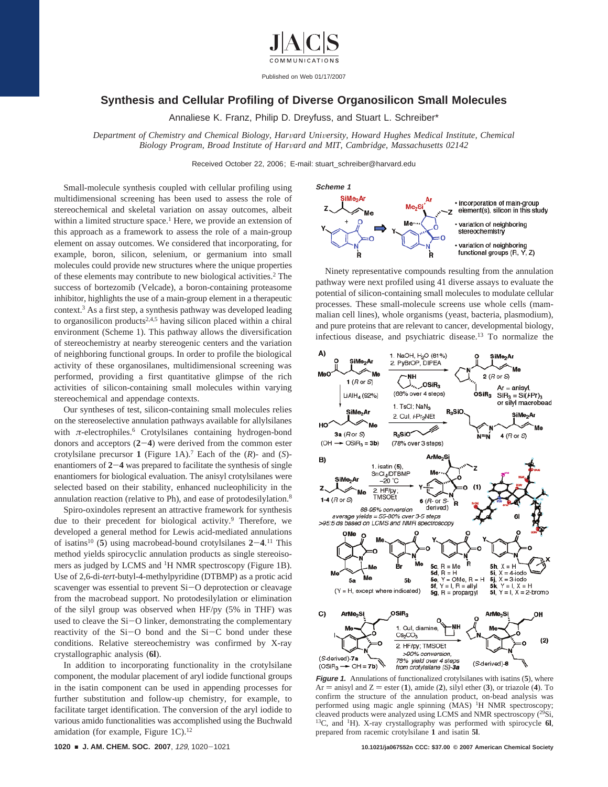

Published on Web 01/17/2007

## **Synthesis and Cellular Profiling of Diverse Organosilicon Small Molecules**

Annaliese K. Franz, Philip D. Dreyfuss, and Stuart L. Schreiber\*

*Department of Chemistry and Chemical Biology, Har*V*ard Uni*V*ersity, Howard Hughes Medical Institute, Chemical Biology Program, Broad Institute of Harvard and MIT, Cambridge, Massachusetts 02142* 

Received October 22, 2006; E-mail: stuart\_schreiber@harvard.edu

Small-molecule synthesis coupled with cellular profiling using multidimensional screening has been used to assess the role of stereochemical and skeletal variation on assay outcomes, albeit within a limited structure space.<sup>1</sup> Here, we provide an extension of this approach as a framework to assess the role of a main-group element on assay outcomes. We considered that incorporating, for example, boron, silicon, selenium, or germanium into small molecules could provide new structures where the unique properties of these elements may contribute to new biological activities.2 The success of bortezomib (Velcade), a boron-containing proteasome inhibitor, highlights the use of a main-group element in a therapeutic context.3 As a first step, a synthesis pathway was developed leading to organosilicon products $2,4,5$  having silicon placed within a chiral environment (Scheme 1). This pathway allows the diversification of stereochemistry at nearby stereogenic centers and the variation of neighboring functional groups. In order to profile the biological activity of these organosilanes, multidimensional screening was performed, providing a first quantitative glimpse of the rich activities of silicon-containing small molecules within varying stereochemical and appendage contexts.

Our syntheses of test, silicon-containing small molecules relies on the stereoselective annulation pathways available for allylsilanes with *π*-electrophiles.<sup>6</sup> Crotylsilanes containing hydrogen-bond donors and acceptors (**2**-**4**) were derived from the common ester crotylsilane precursor **1** (Figure 1A).7 Each of the (*R*)- and (*S*) enantiomers of **<sup>2</sup>**-**<sup>4</sup>** was prepared to facilitate the synthesis of single enantiomers for biological evaluation. The anisyl crotylsilanes were selected based on their stability, enhanced nucleophilicity in the annulation reaction (relative to Ph), and ease of protodesilylation.8

Spiro-oxindoles represent an attractive framework for synthesis due to their precedent for biological activity.<sup>9</sup> Therefore, we developed a general method for Lewis acid-mediated annulations of isatins<sup>10</sup> (5) using macrobead-bound crotylsilanes  $2-4$ .<sup>11</sup> This method vields spirocyclic appulation products as single stateoiso. method yields spirocyclic annulation products as single stereoisomers as judged by LCMS and 1H NMR spectroscopy (Figure 1B). Use of 2,6-di-*tert*-butyl-4-methylpyridine (DTBMP) as a protic acid scavenger was essential to prevent Si-O deprotection or cleavage from the macrobead support. No protodesilylation or elimination of the silyl group was observed when HF/py (5% in THF) was used to cleave the Si-O linker, demonstrating the complementary reactivity of the Si-O bond and the Si-C bond under these conditions. Relative stereochemistry was confirmed by X-ray crystallographic analysis (**6l**).

In addition to incorporating functionality in the crotylsilane component, the modular placement of aryl iodide functional groups in the isatin component can be used in appending processes for further substitution and follow-up chemistry, for example, to facilitate target identification. The conversion of the aryl iodide to various amido functionalities was accomplished using the Buchwald amidation (for example, Figure 1C).<sup>12</sup>



Ninety representative compounds resulting from the annulation pathway were next profiled using 41 diverse assays to evaluate the potential of silicon-containing small molecules to modulate cellular processes. These small-molecule screens use whole cells (mammalian cell lines), whole organisms (yeast, bacteria, plasmodium), and pure proteins that are relevant to cancer, developmental biology, infectious disease, and psychiatric disease.13 To normalize the



**Figure 1.** Annulations of functionalized crotylsilanes with isatins (**5**), where  $Ar =$  anisyl and  $Z =$  ester (1), amide (2), silyl ether (3), or triazole (4). To confirm the structure of the annulation product, on-bead analysis was performed using magic angle spinning (MAS) <sup>1</sup>H NMR spectroscopy; cleaved products were analyzed using LCMS and NMR spectroscopy  $(^{29}Si$ , 13C, and 1H). X-ray crystallography was performed with spirocycle **6l**, prepared from racemic crotylsilane **1** and isatin **5l**.